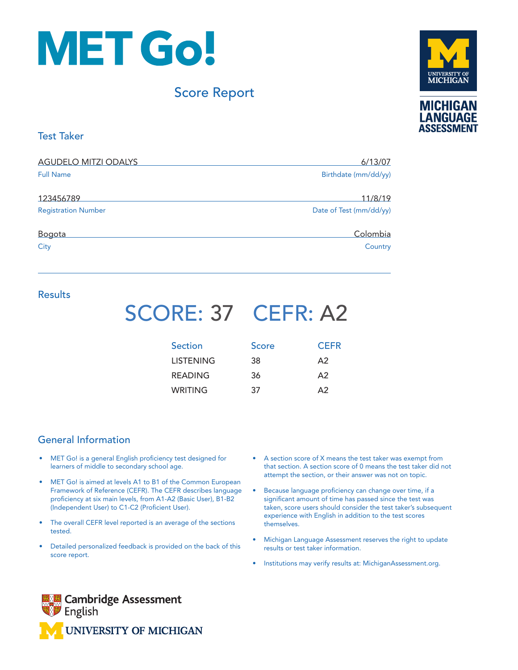

### Score Report



#### Test Taker

| <b>AGUDELO MITZI ODALYS</b> | 6/13/07                 |  |
|-----------------------------|-------------------------|--|
| <b>Full Name</b>            | Birthdate (mm/dd/yy)    |  |
| 123456789                   | 11/8/19                 |  |
| <b>Registration Number</b>  | Date of Test (mm/dd/yy) |  |
| Bogota                      | Colombia                |  |
| City                        | Country                 |  |

#### **Results**

## SCORE: 37 CEFR: A2

| <b>Section</b>   | Score | <b>CEFR</b> |
|------------------|-------|-------------|
| <b>LISTENING</b> | 38    | A2          |
| <b>READING</b>   | 36    | $\Delta$    |
| WRITING          | 37    | $\Delta$ 2  |

#### General Information

- MET Go! is a general English proficiency test designed for learners of middle to secondary school age.
- MET Go! is aimed at levels A1 to B1 of the Common European Framework of Reference (CEFR). The CEFR describes language proficiency at six main levels, from A1-A2 (Basic User), B1-B2 (Independent User) to C1-C2 (Proficient User).
- The overall CEFR level reported is an average of the sections tested.
- Detailed personalized feedback is provided on the back of this score report.
- A section score of X means the test taker was exempt from that section. A section score of 0 means the test taker did not attempt the section, or their answer was not on topic.
- Because language proficiency can change over time, if a significant amount of time has passed since the test was taken, score users should consider the test taker's subsequent experience with English in addition to the test scores themselves.
- Michigan Language Assessment reserves the right to update results or test taker information.
- Institutions may verify results at: MichiganAssessment.org.